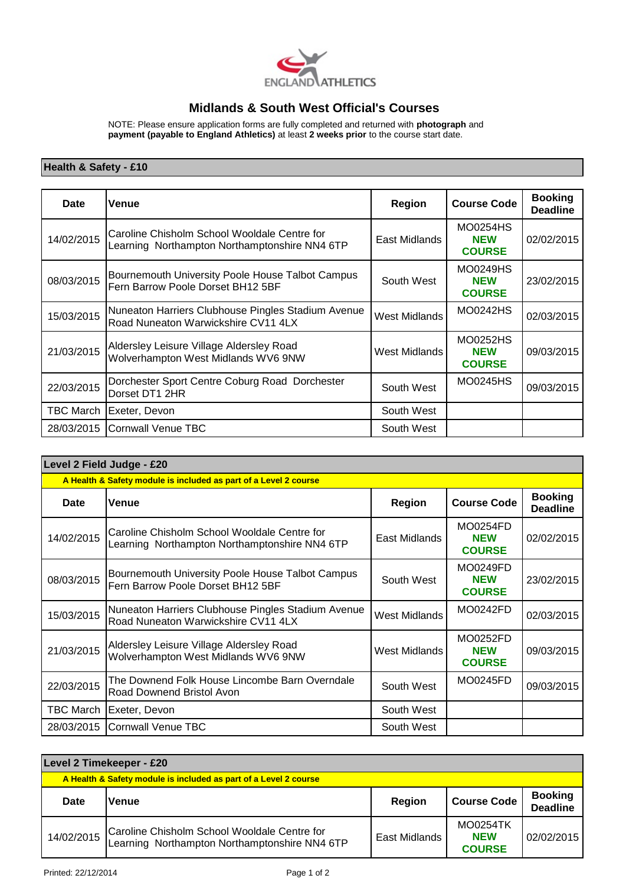

## **Midlands & South West Official's Courses**

NOTE: Please ensure application forms are fully completed and returned with **photograph** and **payment (payable to England Athletics)** at least **2 weeks prior** to the course start date.

## **Health & Safety - £10**

| Date             | Venue                                                                                         | Region                 | <b>Course Code</b>                      | <b>Booking</b><br><b>Deadline</b> |
|------------------|-----------------------------------------------------------------------------------------------|------------------------|-----------------------------------------|-----------------------------------|
| 14/02/2015       | Caroline Chisholm School Wooldale Centre for<br>Learning Northampton Northamptonshire NN4 6TP | East Midlands          | MO0254HS<br><b>NEW</b><br><b>COURSE</b> | 02/02/2015                        |
| 08/03/2015       | Bournemouth University Poole House Talbot Campus<br>Fern Barrow Poole Dorset BH12 5BF         | South West             | MO0249HS<br><b>NEW</b><br><b>COURSE</b> | 23/02/2015                        |
| 15/03/2015       | Nuneaton Harriers Clubhouse Pingles Stadium Avenue<br>Road Nuneaton Warwickshire CV11 4LX     | West Midlands          | MO0242HS                                | 02/03/2015                        |
| 21/03/2015       | Aldersley Leisure Village Aldersley Road<br>Wolverhampton West Midlands WV6 9NW               | West Midlands          | MO0252HS<br><b>NEW</b><br><b>COURSE</b> | 09/03/2015                        |
| 22/03/2015       | Dorchester Sport Centre Coburg Road Dorchester<br>Dorset DT1 2HR                              | MO0245HS<br>South West |                                         | 09/03/2015                        |
| <b>TBC March</b> | Exeter, Devon                                                                                 | South West             |                                         |                                   |
| 28/03/2015       | Cornwall Venue TBC                                                                            | South West             |                                         |                                   |

| Level 2 Field Judge - £20                                        |                                                                                               |                        |                                         |                                   |
|------------------------------------------------------------------|-----------------------------------------------------------------------------------------------|------------------------|-----------------------------------------|-----------------------------------|
| A Health & Safety module is included as part of a Level 2 course |                                                                                               |                        |                                         |                                   |
| Date                                                             | Venue                                                                                         | Region                 | <b>Course Code</b>                      | <b>Booking</b><br><b>Deadline</b> |
| 14/02/2015                                                       | Caroline Chisholm School Wooldale Centre for<br>Learning Northampton Northamptonshire NN4 6TP | East Midlands          | MO0254FD<br><b>NEW</b><br><b>COURSE</b> | 02/02/2015                        |
| 08/03/2015                                                       | Bournemouth University Poole House Talbot Campus<br>Fern Barrow Poole Dorset BH12 5BF         | South West             | MO0249FD<br><b>NEW</b><br><b>COURSE</b> | 23/02/2015                        |
| 15/03/2015                                                       | Nuneaton Harriers Clubhouse Pingles Stadium Avenue<br>Road Nuneaton Warwickshire CV11 4LX     | West Midlands          | MO0242FD                                |                                   |
| 21/03/2015                                                       | Aldersley Leisure Village Aldersley Road<br>Wolverhampton West Midlands WV6 9NW               | West Midlands          | MO0252FD<br><b>NEW</b><br><b>COURSE</b> | 09/03/2015                        |
| 22/03/2015                                                       | The Downend Folk House Lincombe Barn Overndale<br>Road Downend Bristol Avon                   | MO0245FD<br>South West |                                         | 09/03/2015                        |
| <b>TBC March</b>                                                 | Exeter, Devon                                                                                 | South West             |                                         |                                   |
| 28/03/2015                                                       | Cornwall Venue TBC                                                                            | South West             |                                         |                                   |

| Level 2 Timekeeper - £20                                         |                                                                                               |               |                                                |                                   |
|------------------------------------------------------------------|-----------------------------------------------------------------------------------------------|---------------|------------------------------------------------|-----------------------------------|
| A Health & Safety module is included as part of a Level 2 course |                                                                                               |               |                                                |                                   |
| Date                                                             | lVenue                                                                                        | <b>Region</b> | <b>Course Code</b>                             | <b>Booking</b><br><b>Deadline</b> |
| 14/02/2015                                                       | Caroline Chisholm School Wooldale Centre for<br>Learning Northampton Northamptonshire NN4 6TP | East Midlands | <b>MO0254TK</b><br><b>NEW</b><br><b>COURSE</b> | 02/02/2015                        |